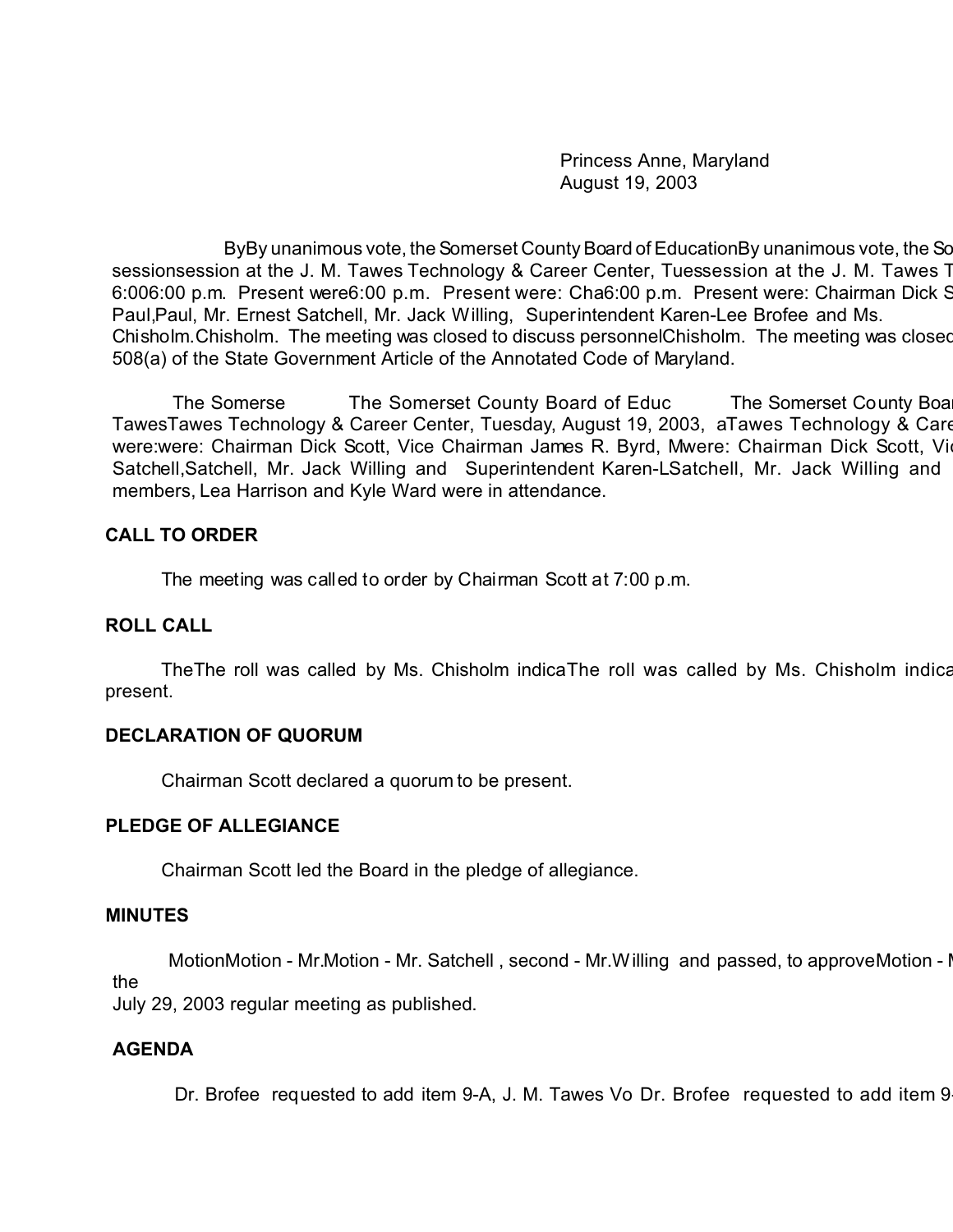Princess Anne, Maryland August 19, 2003

ByBy unanimous vote, the Somerset County Board of EducationBy unanimous vote, the Sc sessionsession at the J. M. Tawes Technology & Career Center, Tuessession at the J. M. Tawes T 6:006:00 p.m. Present were6:00 p.m. Present were: Cha6:00 p.m. Present were: Chairman Dick S Paul,Paul, Mr. Ernest Satchell, Mr. Jack Willing, Superintendent Karen-Lee Brofee and Ms. Chisholm. Chisholm. The meeting was closed to discuss personnelChisholm. The meeting was closed 508(a) of the State Government Article of the Annotated Code of Maryland.

The Somerse The Somerset County Board of Educ The Somerset County Board of Education met in a regular session met in a regular session metal and  $\frac{1}{\sqrt{2}}$ TawesTawes Technology & Career Center, Tuesday, August 19, 2003, aTawes Technology & Care were:were: Chairman Dick Scott, Vice Chairman James R. Byrd, Mwere: Chairman Dick Scott, Vi Satchell,Satchell, Mr. Jack Willing and Superintendent Karen-LSatchell, Mr. Jack Willing and members, Lea Harrison and Kyle Ward were in attendance.

## **CALL TO ORDER**

The meeting was called to order by Chairman Scott at 7:00 p.m.

### **ROLL CALL**

The The roll was called by Ms. Chisholm indicaThe roll was called by Ms. Chisholm indication that all Board members were members were related by Ms. Chisholm indication members were were were all Board members were were we present.

## **DECLARATION OF QUORUM**

Chairman Scott declared a quorum to be present.

#### **PLEDGE OF ALLEGIANCE**

Chairman Scott led the Board in the pledge of allegiance.

#### **MINUTES**

MotionMotion - Mr.Motion - Mr. Satchell, second - Mr. Willing and passed, to approve Motion - I the

July 29, 2003 regular meeting as published.

## **AGENDA**

Dr. Brofee requested to add item 9-A, J. M. Tawes Vo Dr. Brofee requested to add item 9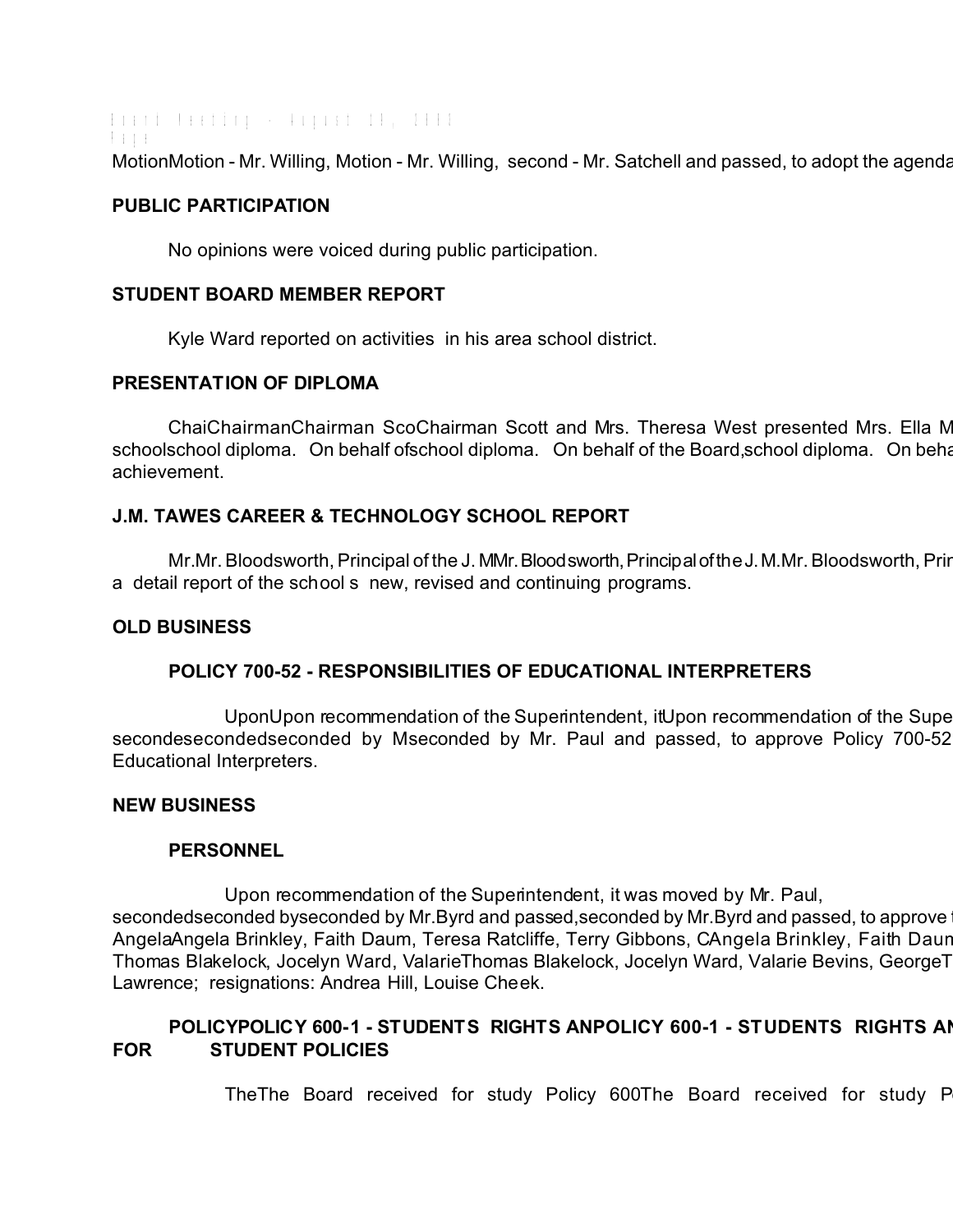Board Meeting - August 19, 2003 Page MotionMotion - Mr. Willing, Motion - Mr. Willing, second - Mr. Satchell and passed, to adopt the agenda

#### **PUBLIC PARTICIPATION**

No opinions were voiced during public participation.

#### **STUDENT BOARD MEMBER REPORT**

Kyle Ward reported on activities in his area school district.

#### **PRESENTATION OF DIPLOMA**

ChaiChairmanChairman ScoChairman Scott and Mrs. Theresa West presented Mrs. Ella M schoolschool diploma. On behalf ofschool diploma. On behalf of the Board, school diploma. On beha achievement.

## **J.M. TAWES CAREER & TECHNOLOGY SCHOOL REPORT**

Mr.Mr. Bloodsworth, Principal of the J. MMr. Bloodsworth, Principal of the J. M.Mr. Bloodsworth, Prir a detail report of the school s new, revised and continuing programs.

### **OLD BUSINESS**

## **POLICY 700-52 - RESPONSIBILITIES OF EDUCATIONAL INTERPRETERS**

UponUpon recommendation of the Superintendent, it Upon recommendation of the Supe secondesecondedseconded by Mseconded by Mr. Paul and passed, to approve Policy 700-52 Educational Interpreters.

#### **NEW BUSINESS**

## **PERSONNEL**

Upon recommendation of the Superintendent, it was moved by Mr. Paul, secondedseconded byseconded by Mr.Byrd and passed, seconded by Mr.Byrd and passed, to approve AngelaAngela Brinkley, Faith Daum, Teresa Ratcliffe, Terry Gibbons, CAngela Brinkley, Faith Daur Thomas Blakelock, Jocelyn Ward, ValarieThomas Blakelock, Jocelyn Ward, Valarie Bevins, George T Lawrence; resignations: Andrea Hill, Louise Cheek.

# POLICYPOLICY 600-1 - STUDENTS RIGHTS ANPOLICY 600-1 - STUDENTS RIGHTS AI **FOR STUDENT POLICIES**

The The Board received for study Policy 600 The Board received for study Policy 600-1The Board received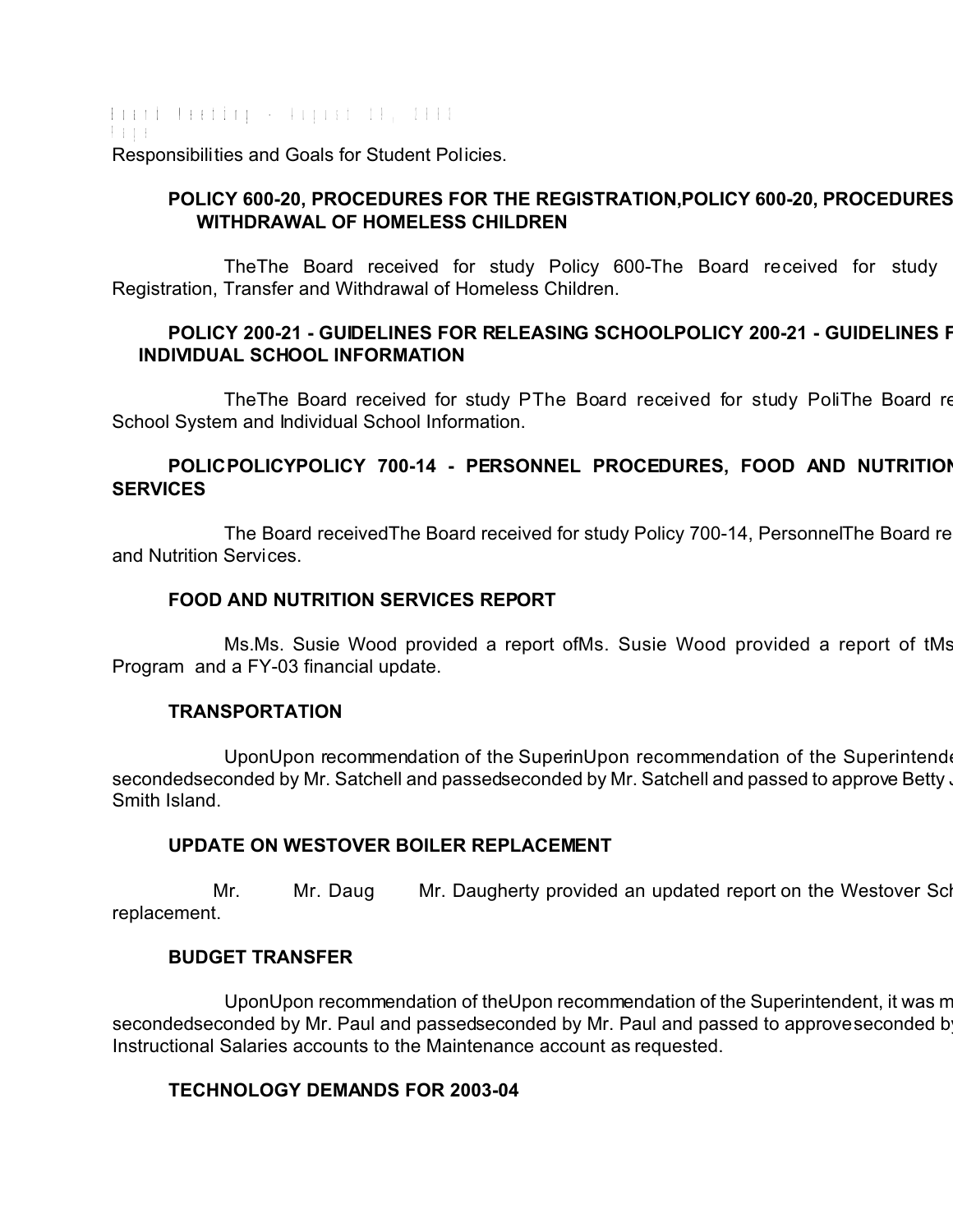Board Meeting - August 19, 2003 Page Responsibilities and Goals for Student Policies.

# POLICY 600-20, PROCEDURES FOR THE REGISTRATION, POLICY 600-20, PROCEDURES  **WITHDRAWAL OF HOMELESS CHILDREN**

TheThe Board received for study Policy 600-The Board received for study Registration, Transfer and Withdrawal of Homeless Children.

# POLICY 200-21 - GUIDELINES FOR RELEASING SCHOOLPOLICY 200-21 - GUIDELINES F  **INDIVIDUAL SCHOOL INFORMATION**

The The Board received for study PThe Board received for study PoliThe Board re School System and Individual School Information.

# **POLICPOLICYPOLICY 700-14 - PERSONNEL PROCEDURES, FOOD AND NUTRITION SERVICES**

The Board received The Board received for study Policy 700-14, Personnel The Board re and Nutrition Services.

## **FOOD AND NUTRITION SERVICES REPORT**

Ms.Ms. Susie Wood provided a report ofMs. Susie Wood provided a report of tMs Program and a FY-03 financial update.

## **TRANSPORTATION**

UponUpon recommendation of the SuperinUpon recommendation of the Superintendent secondedseconded by Mr. Satchell and passedseconded by Mr. Satchell and passed to approve Betty  $\cdot$ Smith Island.

## **UPDATE ON WESTOVER BOILER REPLACEMENT**

Mr. Mr. Daug Mr. Daugherty provided an updated report on the Westover School boiler replacement.

## **BUDGET TRANSFER**

UponUpon recommendation of theUpon recommendation of the Superintendent, it was m secondedseconded by Mr. Paul and passedseconded by Mr. Paul and passed to approve seconded b Instructional Salaries accounts to the Maintenance account as requested.

## **TECHNOLOGY DEMANDS FOR 2003-04**